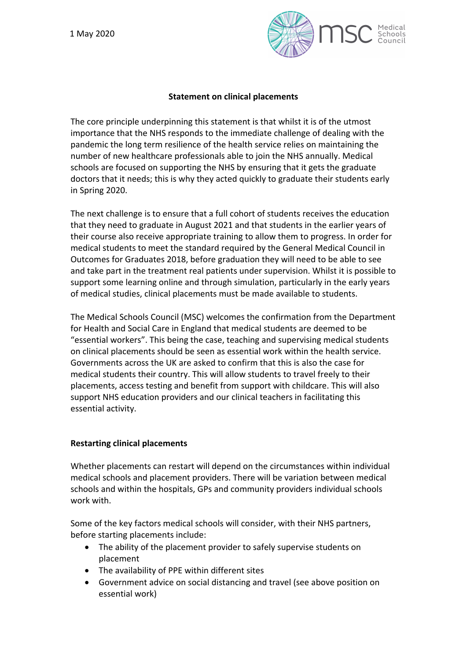

# **Statement on clinical placements**

The core principle underpinning this statement is that whilst it is of the utmost importance that the NHS responds to the immediate challenge of dealing with the pandemic the long term resilience of the health service relies on maintaining the number of new healthcare professionals able to join the NHS annually. Medical schools are focused on supporting the NHS by ensuring that it gets the graduate doctors that it needs; this is why they acted quickly to graduate their students early in Spring 2020.

The next challenge is to ensure that a full cohort of students receives the education that they need to graduate in August 2021 and that students in the earlier years of their course also receive appropriate training to allow them to progress. In order for medical students to meet the standard required by the General Medical Council in Outcomes for Graduates 2018, before graduation they will need to be able to see and take part in the treatment real patients under supervision. Whilst it is possible to support some learning online and through simulation, particularly in the early years of medical studies, clinical placements must be made available to students.

The Medical Schools Council (MSC) welcomes the confirmation from the Department for Health and Social Care in England that medical students are deemed to be "essential workers". This being the case, teaching and supervising medical students on clinical placements should be seen as essential work within the health service. Governments across the UK are asked to confirm that this is also the case for medical students their country. This will allow students to travel freely to their placements, access testing and benefit from support with childcare. This will also support NHS education providers and our clinical teachers in facilitating this essential activity.

### **Restarting clinical placements**

Whether placements can restart will depend on the circumstances within individual medical schools and placement providers. There will be variation between medical schools and within the hospitals, GPs and community providers individual schools work with.

Some of the key factors medical schools will consider, with their NHS partners, before starting placements include:

- The ability of the placement provider to safely supervise students on placement
- The availability of PPE within different sites
- Government advice on social distancing and travel (see above position on essential work)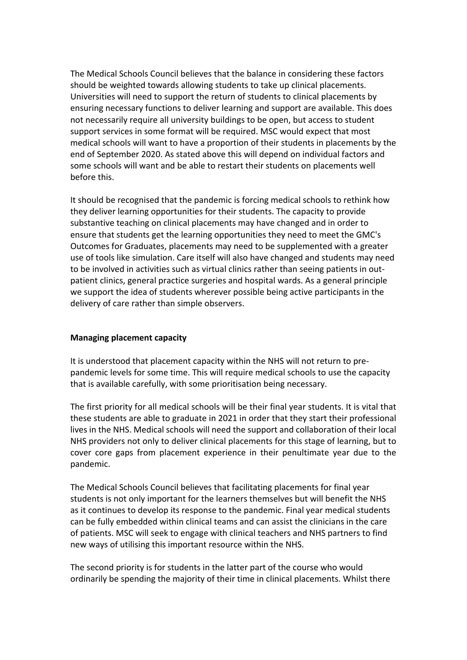The Medical Schools Council believes that the balance in considering these factors should be weighted towards allowing students to take up clinical placements. Universities will need to support the return of students to clinical placements by ensuring necessary functions to deliver learning and support are available. This does not necessarily require all university buildings to be open, but access to student support services in some format will be required. MSC would expect that most medical schools will want to have a proportion of their students in placements by the end of September 2020. As stated above this will depend on individual factors and some schools will want and be able to restart their students on placements well before this.

It should be recognised that the pandemic is forcing medical schools to rethink how they deliver learning opportunities for their students. The capacity to provide substantive teaching on clinical placements may have changed and in order to ensure that students get the learning opportunities they need to meet the GMC's Outcomes for Graduates, placements may need to be supplemented with a greater use of tools like simulation. Care itself will also have changed and students may need to be involved in activities such as virtual clinics rather than seeing patients in outpatient clinics, general practice surgeries and hospital wards. As a general principle we support the idea of students wherever possible being active participants in the delivery of care rather than simple observers.

### **Managing placement capacity**

It is understood that placement capacity within the NHS will not return to prepandemic levels for some time. This will require medical schools to use the capacity that is available carefully, with some prioritisation being necessary.

The first priority for all medical schools will be their final year students. It is vital that these students are able to graduate in 2021 in order that they start their professional lives in the NHS. Medical schools will need the support and collaboration of their local NHS providers not only to deliver clinical placements for this stage of learning, but to cover core gaps from placement experience in their penultimate year due to the pandemic.

The Medical Schools Council believes that facilitating placements for final year students is not only important for the learners themselves but will benefit the NHS as it continues to develop its response to the pandemic. Final year medical students can be fully embedded within clinical teams and can assist the clinicians in the care of patients. MSC will seek to engage with clinical teachers and NHS partners to find new ways of utilising this important resource within the NHS.

The second priority is for students in the latter part of the course who would ordinarily be spending the majority of their time in clinical placements. Whilst there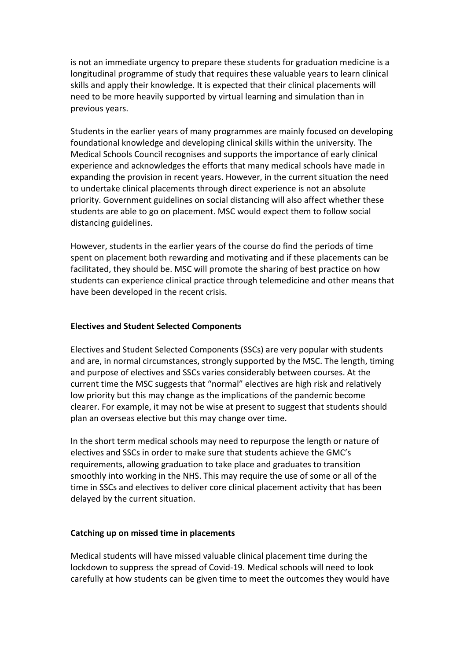is not an immediate urgency to prepare these students for graduation medicine is a longitudinal programme of study that requires these valuable years to learn clinical skills and apply their knowledge. It is expected that their clinical placements will need to be more heavily supported by virtual learning and simulation than in previous years.

Students in the earlier years of many programmes are mainly focused on developing foundational knowledge and developing clinical skills within the university. The Medical Schools Council recognises and supports the importance of early clinical experience and acknowledges the efforts that many medical schools have made in expanding the provision in recent years. However, in the current situation the need to undertake clinical placements through direct experience is not an absolute priority. Government guidelines on social distancing will also affect whether these students are able to go on placement. MSC would expect them to follow social distancing guidelines.

However, students in the earlier years of the course do find the periods of time spent on placement both rewarding and motivating and if these placements can be facilitated, they should be. MSC will promote the sharing of best practice on how students can experience clinical practice through telemedicine and other means that have been developed in the recent crisis.

### **Electives and Student Selected Components**

Electives and Student Selected Components (SSCs) are very popular with students and are, in normal circumstances, strongly supported by the MSC. The length, timing and purpose of electives and SSCs varies considerably between courses. At the current time the MSC suggests that "normal" electives are high risk and relatively low priority but this may change as the implications of the pandemic become clearer. For example, it may not be wise at present to suggest that students should plan an overseas elective but this may change over time.

In the short term medical schools may need to repurpose the length or nature of electives and SSCs in order to make sure that students achieve the GMC's requirements, allowing graduation to take place and graduates to transition smoothly into working in the NHS. This may require the use of some or all of the time in SSCs and electives to deliver core clinical placement activity that has been delayed by the current situation.

### **Catching up on missed time in placements**

Medical students will have missed valuable clinical placement time during the lockdown to suppress the spread of Covid-19. Medical schools will need to look carefully at how students can be given time to meet the outcomes they would have